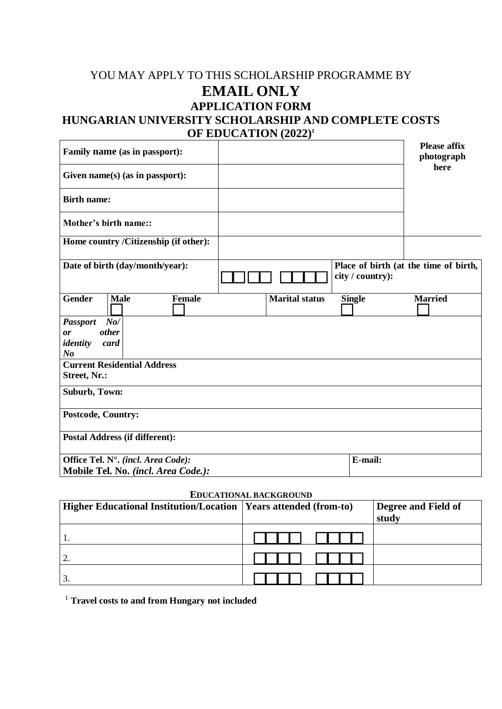## YOU MAY APPLY TO THIS SCHOLARSHIP PROGRAMME BY **EMAIL ONLY APPLICATION FORM HUNGARIAN UNIVERSITY SCHOLARSHIP AND COMPLETE COSTS OF EDUCATION (2022) 1**

| Family name (as in passport):                                                      |                       | <b>Please affix</b><br>photograph                         |
|------------------------------------------------------------------------------------|-----------------------|-----------------------------------------------------------|
| Given name(s) (as in passport):                                                    |                       | here                                                      |
| <b>Birth name:</b>                                                                 |                       |                                                           |
| <b>Mother's birth name::</b>                                                       |                       |                                                           |
| Home country /Citizenship (if other):                                              |                       |                                                           |
| Date of birth (day/month/year):                                                    |                       | Place of birth (at the time of birth,<br>city / country): |
| <b>Gender</b><br><b>Female</b><br><b>Male</b>                                      | <b>Marital status</b> | <b>Single</b><br><b>Married</b>                           |
| $N_{0}$ /<br><b>Passport</b><br><i>other</i><br>or<br>identity<br>card<br>$\bm{N}$ |                       |                                                           |
| <b>Current Residential Address</b><br>Street, Nr.:                                 |                       |                                                           |
| Suburb, Town:                                                                      |                       |                                                           |
| <b>Postcode, Country:</b>                                                          |                       |                                                           |
| <b>Postal Address (if different):</b>                                              |                       |                                                           |
| Office Tel. N°. (incl. Area Code):<br>Mobile Tel. No. (incl. Area Code.):          |                       | E-mail:                                                   |

## **EDUCATIONAL BACKGROUND**

| Higher Educational Institution/Location   Years attended (from-to) | Degree and Field of<br>stud |
|--------------------------------------------------------------------|-----------------------------|
| 1.                                                                 |                             |
| ി<br><u>.</u>                                                      |                             |
| 3.                                                                 |                             |

<sup>1</sup> **Travel costs to and from Hungary not included**